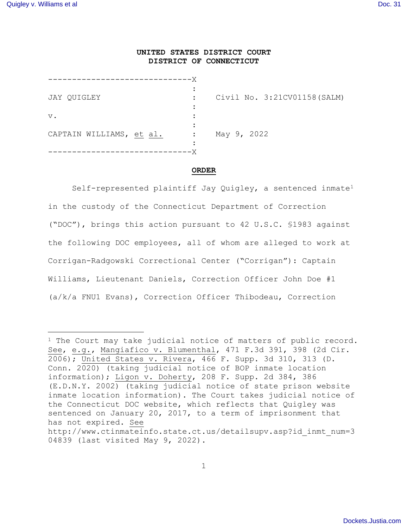# **UNITED STATES DISTRICT COURT DISTRICT OF CONNECTICUT**

| JAY QUIGLEY              | $\ddot{\phantom{a}}$ | Civil No. 3:21CV01158 (SALM) |
|--------------------------|----------------------|------------------------------|
| $V$ .                    |                      |                              |
| CAPTAIN WILLIAMS, et al. |                      | May 9, 2022                  |
|                          |                      |                              |

#### **ORDER**

Self-represented plaintiff Jay Quigley, a sentenced inmate<sup>[1](#page-0-0)</sup> in the custody of the Connecticut Department of Correction ("DOC"), brings this action pursuant to 42 U.S.C. [§1983](https://www.westlaw.com/Link/Document/FullText?rs=USCLink&vr=3.0&findType=Y&cite=42%2B%2Bu%2Es%2Ec%2E%2B%2B%2B%2B1983&clientid=USCourts) against the following DOC employees, all of whom are alleged to work at Corrigan-Radgowski Correctional Center ("Corrigan"): Captain Williams, Lieutenant Daniels, Correction Officer John Doe #1 (a/k/a FNU1 Evans), Correction Officer Thibodeau, Correction

<span id="page-0-0"></span><sup>&</sup>lt;sup>1</sup> The Court may take judicial notice of matters of public record. See, e.g., Mangiafico v. Blumenthal, 471 F.3d 391, 398 (2d Cir. 2006); United States v. Rivera, 466 F. Supp. 3d 310, 313 (D. Conn. 2020) (taking judicial notice of BOP inmate location information); Ligon v. Doherty, 208 F. Supp. 2d 384, 386 (E.D.N.Y. 2002) (taking judicial notice of state prison website inmate location information). The Court takes judicial notice of the Connecticut DOC website, which reflects that Quigley was sentenced on January 20, 2017, to a term of imprisonment that has not expired. See

http://www.ctinmateinfo.state.ct.us/detailsupv.asp?id\_inmt\_num=3 04839 (last visited May 9, 2022).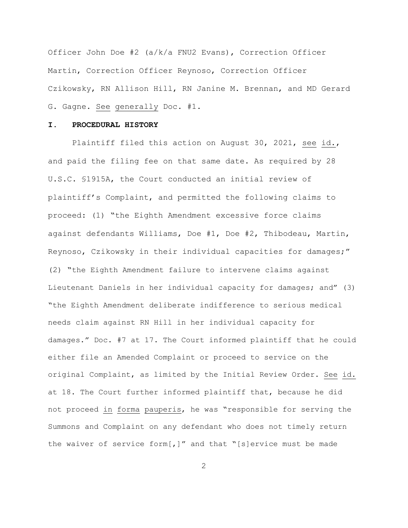Officer John Doe #2 (a/k/a FNU2 Evans), Correction Officer Martin, Correction Officer Reynoso, Correction Officer Czikowsky, RN Allison Hill, RN Janine M. Brennan, and MD Gerard G. Gagne. See generally Doc. #1.

# **I. PROCEDURAL HISTORY**

Plaintiff filed this action on August 30, 2021, see id., and paid the filing fee on that same date. As required by 28 U.S.C. §1915A, the Court conducted an initial review of plaintiff's Complaint, and permitted the following claims to proceed: (1) "the Eighth Amendment excessive force claims against defendants Williams, Doe #1, Doe #2, Thibodeau, Martin, Reynoso, Czikowsky in their individual capacities for damages;" (2) "the Eighth Amendment failure to intervene claims against Lieutenant Daniels in her individual capacity for damages; and" (3) "the Eighth Amendment deliberate indifference to serious medical needs claim against RN Hill in her individual capacity for damages." Doc. #7 at 17. The Court informed plaintiff that he could either file an Amended Complaint or proceed to service on the original Complaint, as limited by the Initial Review Order. See id. at 18. The Court further informed plaintiff that, because he did not proceed in forma pauperis, he was "responsible for serving the Summons and Complaint on any defendant who does not timely return the waiver of service form[,]" and that "[s]ervice must be made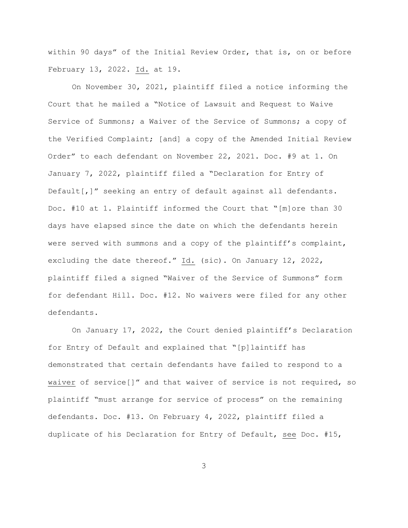within 90 days" of the Initial Review Order, that is, on or before February 13, 2022. Id. at 19.

On November 30, 2021, plaintiff filed a notice informing the Court that he mailed a "Notice of Lawsuit and Request to Waive Service of Summons; a Waiver of the Service of Summons; a copy of the Verified Complaint; [and] a copy of the Amended Initial Review Order" to each defendant on November 22, 2021. Doc. #9 at 1. On January 7, 2022, plaintiff filed a "Declaration for Entry of Default[,]" seeking an entry of default against all defendants. Doc. #10 at 1. Plaintiff informed the Court that "[m]ore than 30 days have elapsed since the date on which the defendants herein were served with summons and a copy of the plaintiff's complaint, excluding the date thereof." Id. (sic). On January 12, 2022, plaintiff filed a signed "Waiver of the Service of Summons" form for defendant Hill. Doc. #12. No waivers were filed for any other defendants.

On January 17, 2022, the Court denied plaintiff's Declaration for Entry of Default and explained that "[p]laintiff has demonstrated that certain defendants have failed to respond to a waiver of service[]" and that waiver of service is not required, so plaintiff "must arrange for service of process" on the remaining defendants. Doc. #13. On February 4, 2022, plaintiff filed a duplicate of his Declaration for Entry of Default, see Doc. #15,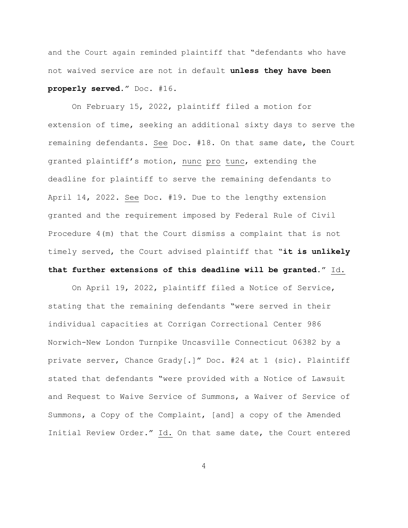and the Court again reminded plaintiff that "defendants who have not waived service are not in default **unless they have been properly served**." Doc. #16.

 On February 15, 2022, plaintiff filed a motion for extension of time, seeking an additional sixty days to serve the remaining defendants. See Doc. #18. On that same date, the Court granted plaintiff's motion, nunc pro tunc, extending the deadline for plaintiff to serve the remaining defendants to April 14, 2022. See Doc. #19. Due to the lengthy extension granted and the requirement imposed by Federal Rule of Civil Procedure 4(m) that the Court dismiss a complaint that is not timely served, the Court advised plaintiff that "**it is unlikely that further extensions of this deadline will be granted**." Id.

 On April 19, 2022, plaintiff filed a Notice of Service, stating that the remaining defendants "were served in their individual capacities at Corrigan Correctional Center 986 Norwich-New London Turnpike Uncasville Connecticut 06382 by a private server, Chance Grady[.]" Doc. #24 at 1 (sic). Plaintiff stated that defendants "were provided with a Notice of Lawsuit and Request to Waive Service of Summons, a Waiver of Service of Summons, a Copy of the Complaint, [and] a copy of the Amended Initial Review Order." Id. On that same date, the Court entered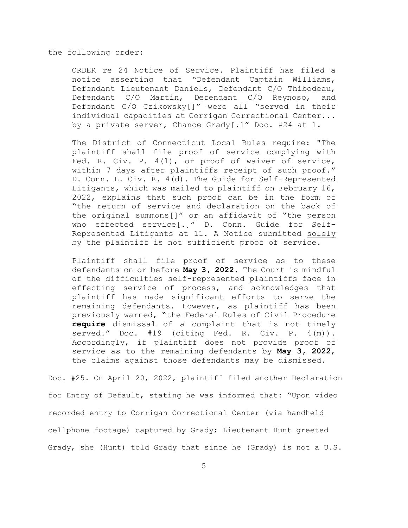the following order:

ORDER re 24 Notice of Service. Plaintiff has filed a notice asserting that "Defendant Captain Williams, Defendant Lieutenant Daniels, Defendant C/O Thibodeau, Defendant C/O Martin, Defendant C/O Reynoso, and Defendant C/O Czikowsky[]" were all "served in their individual capacities at Corrigan Correctional Center... by a private server, Chance Grady[.]" Doc. #24 at 1.

The District of Connecticut Local Rules require: "The plaintiff shall file proof of service complying with Fed. R. Civ. P. 4(1), or proof of waiver of service, within 7 days after plaintiffs receipt of such proof." D. Conn. L. Civ. R. 4(d). The Guide for Self-Represented Litigants, which was mailed to plaintiff on February 16, 2022, explains that such proof can be in the form of "the return of service and declaration on the back of the original summons[]" or an affidavit of "the person who effected service[.]" D. Conn. Guide for Self-Represented Litigants at 11. A Notice submitted solely by the plaintiff is not sufficient proof of service.

Plaintiff shall file proof of service as to these defendants on or before **May 3, 2022**. The Court is mindful of the difficulties self-represented plaintiffs face in effecting service of process, and acknowledges that plaintiff has made significant efforts to serve the remaining defendants. However, as plaintiff has been previously warned, "the Federal Rules of Civil Procedure **require** dismissal of a complaint that is not timely served." Doc. #19 (citing Fed. R. Civ. P. 4(m)). Accordingly, if plaintiff does not provide proof of service as to the remaining defendants by **May 3, 2022**, the claims against those defendants may be dismissed.

Doc. #25. On April 20, 2022, plaintiff filed another Declaration for Entry of Default, stating he was informed that: "Upon video recorded entry to Corrigan Correctional Center (via handheld cellphone footage) captured by Grady; Lieutenant Hunt greeted Grady, she (Hunt) told Grady that since he (Grady) is not a U.S.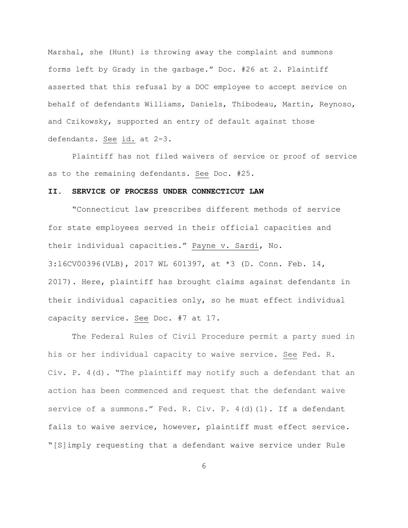Marshal, she (Hunt) is throwing away the complaint and summons forms left by Grady in the garbage." Doc. #26 at 2. Plaintiff asserted that this refusal by a DOC employee to accept service on behalf of defendants Williams, Daniels, Thibodeau, Martin, Reynoso, and Czikowsky, supported an entry of default against those defendants. See id. at 2-3.

 Plaintiff has not filed waivers of service or proof of service as to the remaining defendants. See Doc. #25.

## **II. SERVICE OF PROCESS UNDER CONNECTICUT LAW**

 "Connecticut law prescribes different methods of service for state employees served in their official capacities and their individual capacities." Payne v. Sardi, No. 3:16CV00396(VLB), 2017 WL 601397, at \*3 (D. Conn. Feb. 14, 2017). Here, plaintiff has brought claims against defendants in their individual capacities only, so he must effect individual capacity service. See Doc. #7 at 17.

 The Federal Rules of Civil Procedure permit a party sued in his or her individual capacity to waive service. See Fed. R. Civ. P. 4(d). "The plaintiff may notify such a defendant that an action has been commenced and request that the defendant waive service of a summons." Fed. R. Civ. P. 4(d)(1). If a defendant fails to waive service, however, plaintiff must effect service. "[S]imply requesting that a defendant waive service under Rule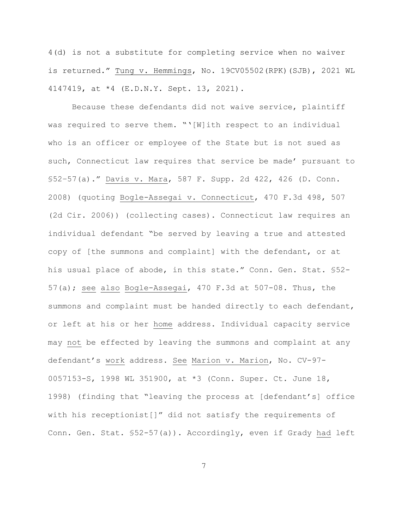4(d) is not a substitute for completing service when no waiver is returned." Tung v. Hemmings, No. 19CV05502(RPK)(SJB), 2021 WL 4147419, at \*4 (E.D.N.Y. Sept. 13, 2021).

Because these defendants did not waive service, plaintiff was required to serve them. "'[W]ith respect to an individual who is an officer or employee of the State but is not sued as such, Connecticut law requires that service be made' pursuant to §52–57(a)." Davis v. Mara, 587 F. Supp. 2d 422, 426 (D. Conn. 2008) (quoting Bogle-Assegai v. Connecticut, 470 F.3d 498, 507 (2d Cir. 2006)) (collecting cases). Connecticut law requires an individual defendant "be served by leaving a true and attested copy of [the summons and complaint] with the defendant, or at his usual place of abode, in this state." Conn. Gen. Stat. §52- 57(a); see also Bogle-Assegai, 470 F.3d at 507-08. Thus, the summons and complaint must be handed directly to each defendant, or left at his or her home address. Individual capacity service may not be effected by leaving the summons and complaint at any defendant's work address. See Marion v. Marion, No. CV-97- 0057153-S, 1998 WL 351900, at \*3 (Conn. Super. Ct. June 18, 1998) (finding that "leaving the process at [defendant's] office with his receptionist[]" did not satisfy the requirements of Conn. Gen. Stat. §52-57(a)). Accordingly, even if Grady had left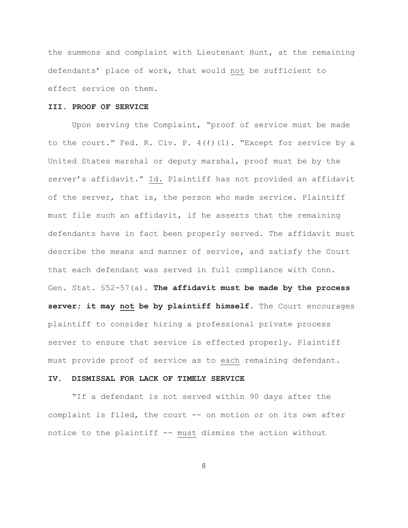the summons and complaint with Lieutenant Hunt, at the remaining defendants' place of work, that would not be sufficient to effect service on them.

### **III. PROOF OF SERVICE**

 Upon serving the Complaint, "proof of service must be made to the court." Fed. R. Civ. P. 4(ℓ)(1). "Except for service by a United States marshal or deputy marshal, proof must be by the server's affidavit." Id. Plaintiff has not provided an affidavit of the server, that is, the person who made service. Plaintiff must file such an affidavit, if he asserts that the remaining defendants have in fact been properly served. The affidavit must describe the means and manner of service, and satisfy the Court that each defendant was served in full compliance with Conn. Gen. Stat. §52-57(a). **The affidavit must be made by the process server; it may not be by plaintiff himself.** The Court encourages plaintiff to consider hiring a professional private process server to ensure that service is effected properly. Plaintiff must provide proof of service as to each remaining defendant.

## **IV. DISMISSAL FOR LACK OF TIMELY SERVICE**

 "If a defendant is not served within 90 days after the complaint is filed, the court -- on motion or on its own after notice to the plaintiff -- must dismiss the action without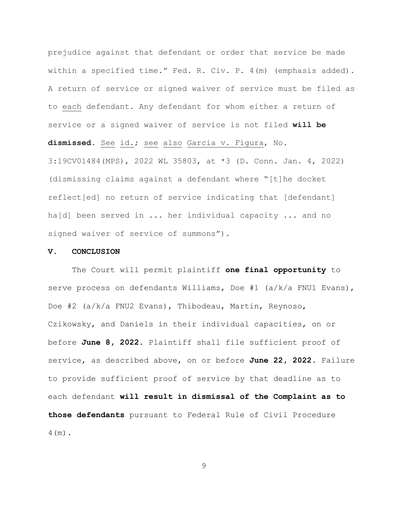prejudice against that defendant or order that service be made within a specified time." Fed. R. Civ. P. 4(m) (emphasis added). A return of service or signed waiver of service must be filed as to each defendant. Any defendant for whom either a return of service or a signed waiver of service is not filed **will be dismissed**. See id.; see also Garcia v. Figura, No. 3:19CV01484(MPS), 2022 WL 35803, at \*3 (D. Conn. Jan. 4, 2022) (dismissing claims against a defendant where "[t]he docket reflect[ed] no return of service indicating that [defendant] ha[d] been served in ... her individual capacity ... and no signed waiver of service of summons").

#### **V. CONCLUSION**

The Court will permit plaintiff **one final opportunity** to serve process on defendants Williams, Doe #1 (a/k/a FNU1 Evans), Doe #2 (a/k/a FNU2 Evans), Thibodeau, Martin, Reynoso, Czikowsky, and Daniels in their individual capacities, on or before **June 8, 2022**. Plaintiff shall file sufficient proof of service, as described above, on or before **June 22, 2022**. Failure to provide sufficient proof of service by that deadline as to each defendant **will result in dismissal of the Complaint as to those defendants** pursuant to Federal Rule of Civil Procedure 4(m)**.**